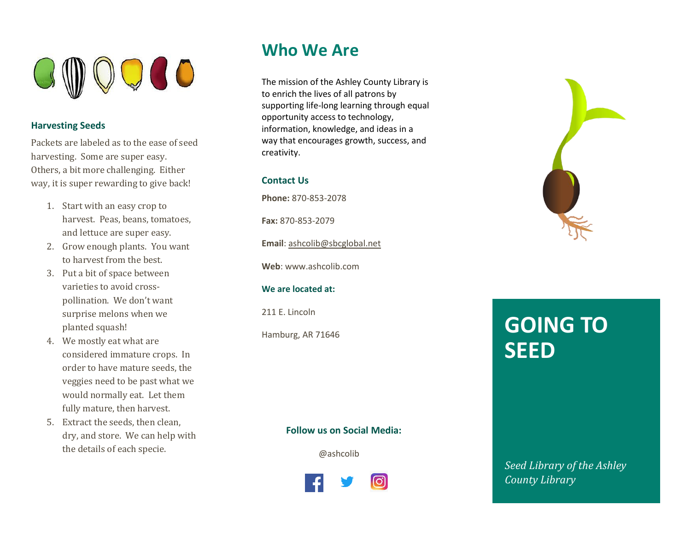

### **Harvesting Seeds**

Packets are labeled as to the ease of seed harvesting. Some are super easy. Others, a bit more challenging. Either way, it is super rewarding to give back!

- 1. Start with an easy crop to harvest. Peas, beans, tomatoes, and lettuce are super easy.
- 2. Grow enough plants. You want to harvest from the best.
- 3. Put a bit of space between varieties to avoid crosspollination. We don't want surprise melons when we planted squash!
- 4. We mostly eat what are considered immature crops. In order to have mature seeds, the veggies need to be past what we would normally eat. Let them fully mature, then harvest.
- 5. Extract the seeds, then clean, dry, and store. We can help with the details of each specie.

### **Who We Are**

The mission of the Ashley County Library is to enrich the lives of all patrons by supporting life-long learning through equal opportunity access to technology, information, knowledge, and ideas in a way that encourages growth, success, and creativity.

#### **Contact Us**

**Phone:** 870-853-2078

**Fax:** 870-853-2079

**Email**[: ashcolib@sbcglobal.net](mailto:ashcolib@sbcglobal.net)

**Web**: www.ashcolib.com

#### **We are located at:**

211 E. Lincoln

Hamburg, AR 71646

# **GOING TO SEED**

#### **Follow us on Social Media:**

@ashcolib



*Seed Library of the Ashley County Library*